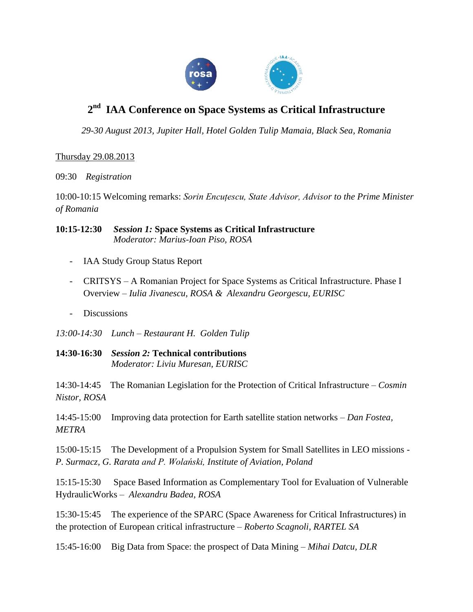

## **2 nd IAA Conference on Space Systems as Critical Infrastructure**

*29-30 August 2013, Jupiter Hall, Hotel Golden Tulip Mamaia, Black Sea, Romania*

## Thursday 29.08.2013

09:30 *Registration*

10:00-10:15 Welcoming remarks: *Sorin Encuțescu, State Advisor, Advisor to the Prime Minister of Romania*

**10:15-12:30** *Session 1:* **Space Systems as Critical Infrastructure**  *Moderator: Marius-Ioan Piso, ROSA*

- IAA Study Group Status Report
- CRITSYS A Romanian Project for Space Systems as Critical Infrastructure. Phase I Overview – *Iulia Jivanescu, ROSA & Alexandru Georgescu, EURISC*
- Discussions

*13:00-14:30 Lunch – Restaurant H. Golden Tulip* 

**14:30-16:30** *Session 2:* **Technical contributions**  *Moderator: Liviu Muresan, EURISC*

14:30-14:45 The Romanian Legislation for the Protection of Critical Infrastructure – *Cosmin Nistor, ROSA*

14:45-15:00 Improving data protection for Earth satellite station networks – *Dan Fostea, METRA*

15:00-15:15 The Development of a Propulsion System for Small Satellites in LEO missions - *P. Surmacz, G. Rarata and P. Wolański, Institute of Aviation, Poland*

15:15-15:30 Space Based Information as Complementary Tool for Evaluation of Vulnerable HydraulicWorks – *Alexandru Badea, ROSA*

15:30-15:45 The experience of the SPARC (Space Awareness for Critical Infrastructures) in the protection of European critical infrastructure – *Roberto Scagnoli, RARTEL SA*

15:45-16:00 Big Data from Space: the prospect of Data Mining – *Mihai Datcu, DLR*